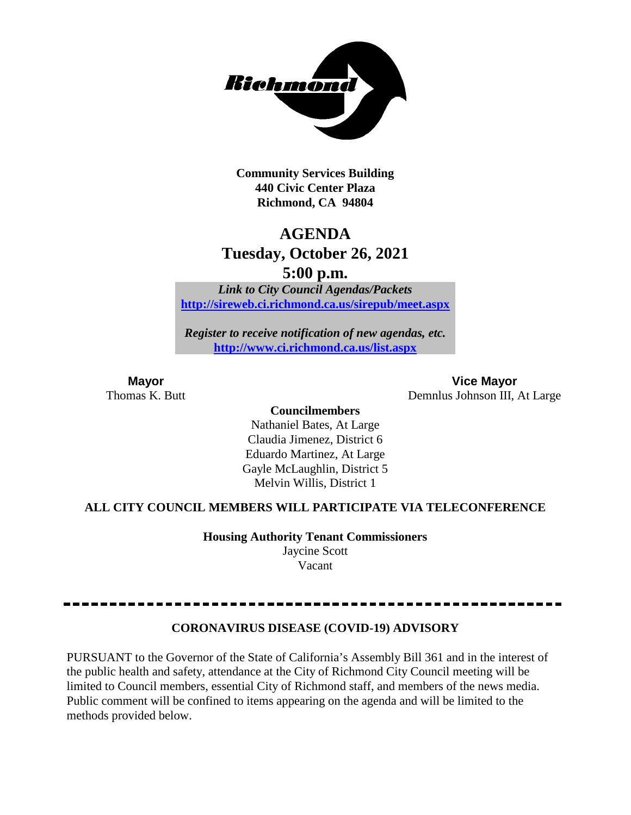

**Community Services Building 440 Civic Center Plaza Richmond, CA 94804**

## **AGENDA Tuesday, October 26, 2021**

**5:00 p.m.**

*Link to City Council Agendas/Packets* **<http://sireweb.ci.richmond.ca.us/sirepub/meet.aspx>**

*Register to receive notification of new agendas, etc.* **<http://www.ci.richmond.ca.us/list.aspx>**

**Mayor Vice Mayor** Thomas K. Butt Demnlus Johnson III, At Large

> **Councilmembers** Nathaniel Bates, At Large Claudia Jimenez, District 6 Eduardo Martinez, At Large Gayle McLaughlin, District 5 Melvin Willis, District 1

### **ALL CITY COUNCIL MEMBERS WILL PARTICIPATE VIA TELECONFERENCE**

**Housing Authority Tenant Commissioners** Jaycine Scott

Vacant

#### **CORONAVIRUS DISEASE (COVID-19) ADVISORY**

PURSUANT to the Governor of the State of California's Assembly Bill 361 and in the interest of the public health and safety, attendance at the City of Richmond City Council meeting will be limited to Council members, essential City of Richmond staff, and members of the news media. Public comment will be confined to items appearing on the agenda and will be limited to the methods provided below.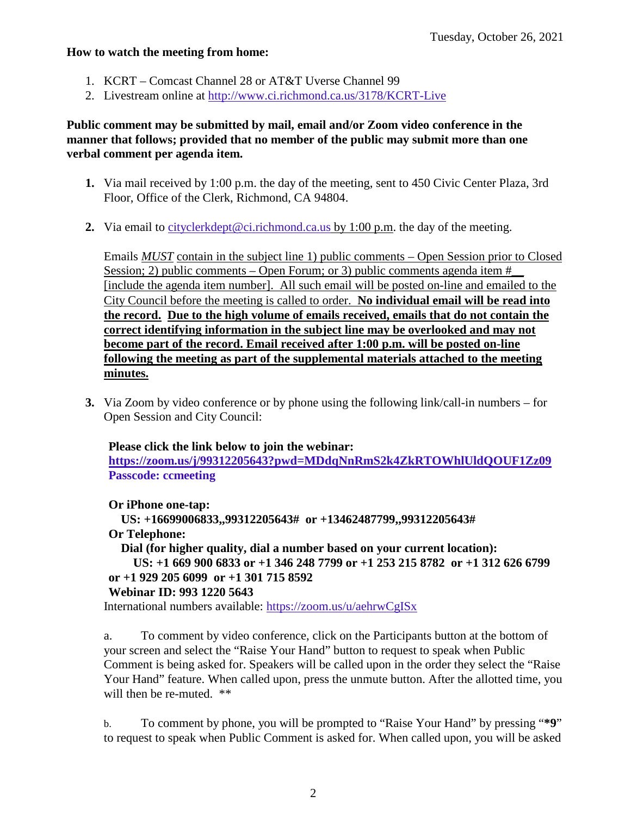#### **How to watch the meeting from home:**

- 1. KCRT Comcast Channel 28 or AT&T Uverse Channel 99
- 2. Livestream online at<http://www.ci.richmond.ca.us/3178/KCRT-Live>

#### **Public comment may be submitted by mail, email and/or Zoom video conference in the manner that follows; provided that no member of the public may submit more than one verbal comment per agenda item.**

- **1.** Via mail received by 1:00 p.m. the day of the meeting, sent to 450 Civic Center Plaza, 3rd Floor, Office of the Clerk, Richmond, CA 94804.
- **2.** Via email to [cityclerkdept@ci.richmond.ca.us](mailto:cityclerkdept@ci.richmond.ca.us) by 1:00 p.m. the day of the meeting.

Emails *MUST* contain in the subject line 1) public comments – Open Session prior to Closed Session; 2) public comments – Open Forum; or 3) public comments agenda item  $#$ [include the agenda item number]. All such email will be posted on-line and emailed to the City Council before the meeting is called to order. **No individual email will be read into the record. Due to the high volume of emails received, emails that do not contain the correct identifying information in the subject line may be overlooked and may not become part of the record. Email received after 1:00 p.m. will be posted on-line following the meeting as part of the supplemental materials attached to the meeting minutes.**

**3.** Via Zoom by video conference or by phone using the following link/call-in numbers – for Open Session and City Council:

#### **Please click the link below to join the webinar:**

**<https://zoom.us/j/99312205643?pwd=MDdqNnRmS2k4ZkRTOWhlUldQOUF1Zz09> Passcode: ccmeeting**

**Or iPhone one-tap:**

**US: +16699006833,,99312205643# or +13462487799,,99312205643# Or Telephone:**

**Dial (for higher quality, dial a number based on your current location):**

```
US: +1 669 900 6833 or +1 346 248 7799 or +1 253 215 8782 or +1 312 626 6799
or +1 929 205 6099 or +1 301 715 8592
```
### **Webinar ID: 993 1220 5643**

International numbers available: <https://zoom.us/u/aehrwCgISx>

a. To comment by video conference, click on the Participants button at the bottom of your screen and select the "Raise Your Hand" button to request to speak when Public Comment is being asked for. Speakers will be called upon in the order they select the "Raise Your Hand" feature. When called upon, press the unmute button. After the allotted time, you will then be re-muted. \*\*

b. To comment by phone, you will be prompted to "Raise Your Hand" by pressing "**\*9**" to request to speak when Public Comment is asked for. When called upon, you will be asked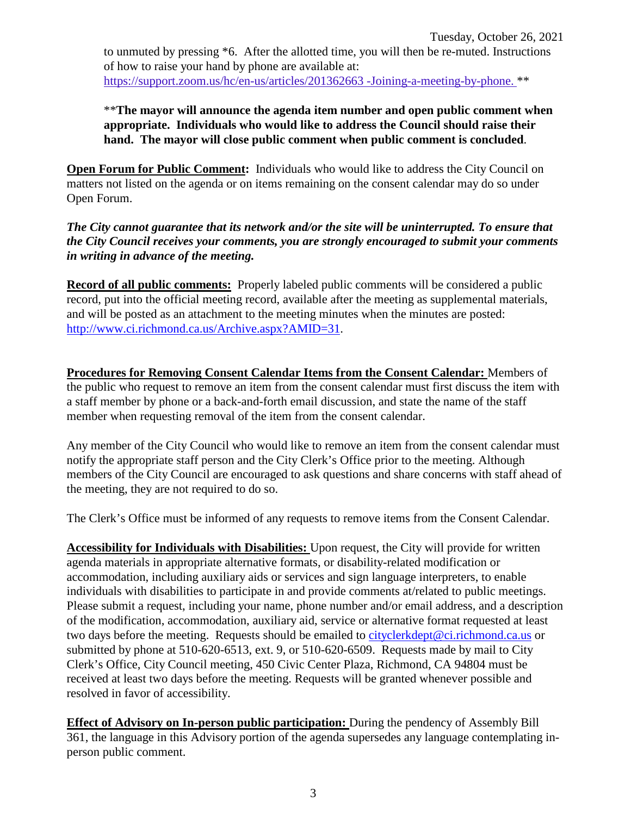to unmuted by pressing \*6. After the allotted time, you will then be re-muted. Instructions of how to raise your hand by phone are available at: [https://support.zoom.us/hc/en-us/articles/201362663 -Joining-a-meeting-by-phone.](https://support.zoom.us/hc/en-us/articles/201362663) \*\*

\*\***The mayor will announce the agenda item number and open public comment when appropriate. Individuals who would like to address the Council should raise their hand. The mayor will close public comment when public comment is concluded**.

**Open Forum for Public Comment:** Individuals who would like to address the City Council on matters not listed on the agenda or on items remaining on the consent calendar may do so under Open Forum.

*The City cannot guarantee that its network and/or the site will be uninterrupted. To ensure that the City Council receives your comments, you are strongly encouraged to submit your comments in writing in advance of the meeting.* 

**Record of all public comments:** Properly labeled public comments will be considered a public record, put into the official meeting record, available after the meeting as supplemental materials, and will be posted as an attachment to the meeting minutes when the minutes are posted: [http://www.ci.richmond.ca.us/Archive.aspx?AMID=31.](http://www.ci.richmond.ca.us/Archive.aspx?AMID=31)

**Procedures for Removing Consent Calendar Items from the Consent Calendar:** Members of the public who request to remove an item from the consent calendar must first discuss the item with a staff member by phone or a back-and-forth email discussion, and state the name of the staff member when requesting removal of the item from the consent calendar.

Any member of the City Council who would like to remove an item from the consent calendar must notify the appropriate staff person and the City Clerk's Office prior to the meeting. Although members of the City Council are encouraged to ask questions and share concerns with staff ahead of the meeting, they are not required to do so.

The Clerk's Office must be informed of any requests to remove items from the Consent Calendar.

**Accessibility for Individuals with Disabilities:** Upon request, the City will provide for written agenda materials in appropriate alternative formats, or disability-related modification or accommodation, including auxiliary aids or services and sign language interpreters, to enable individuals with disabilities to participate in and provide comments at/related to public meetings. Please submit a request, including your name, phone number and/or email address, and a description of the modification, accommodation, auxiliary aid, service or alternative format requested at least two days before the meeting. Requests should be emailed to [cityclerkdept@ci.richmond.ca.us](mailto:cityclerkdept@ci.richmond.ca.us) or submitted by phone at 510-620-6513, ext. 9, or 510-620-6509. Requests made by mail to City Clerk's Office, City Council meeting, 450 Civic Center Plaza, Richmond, CA 94804 must be received at least two days before the meeting. Requests will be granted whenever possible and resolved in favor of accessibility.

**Effect of Advisory on In-person public participation:** During the pendency of Assembly Bill 361, the language in this Advisory portion of the agenda supersedes any language contemplating inperson public comment.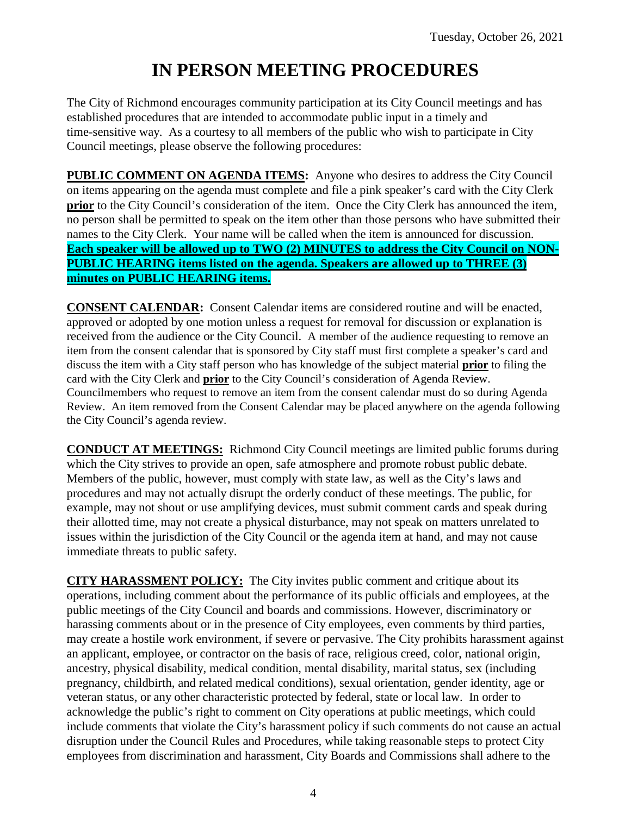# **IN PERSON MEETING PROCEDURES**

The City of Richmond encourages community participation at its City Council meetings and has established procedures that are intended to accommodate public input in a timely and time-sensitive way. As a courtesy to all members of the public who wish to participate in City Council meetings, please observe the following procedures:

**PUBLIC COMMENT ON AGENDA ITEMS:** Anyone who desires to address the City Council on items appearing on the agenda must complete and file a pink speaker's card with the City Clerk **prior** to the City Council's consideration of the item. Once the City Clerk has announced the item, no person shall be permitted to speak on the item other than those persons who have submitted their names to the City Clerk. Your name will be called when the item is announced for discussion. **Each speaker will be allowed up to TWO (2) MINUTES to address the City Council on NON-PUBLIC HEARING items listed on the agenda. Speakers are allowed up to THREE (3) minutes on PUBLIC HEARING items.**

**CONSENT CALENDAR:** Consent Calendar items are considered routine and will be enacted, approved or adopted by one motion unless a request for removal for discussion or explanation is received from the audience or the City Council. A member of the audience requesting to remove an item from the consent calendar that is sponsored by City staff must first complete a speaker's card and discuss the item with a City staff person who has knowledge of the subject material **prior** to filing the card with the City Clerk and **prior** to the City Council's consideration of Agenda Review. Councilmembers who request to remove an item from the consent calendar must do so during Agenda Review. An item removed from the Consent Calendar may be placed anywhere on the agenda following the City Council's agenda review.

**CONDUCT AT MEETINGS:** Richmond City Council meetings are limited public forums during which the City strives to provide an open, safe atmosphere and promote robust public debate. Members of the public, however, must comply with state law, as well as the City's laws and procedures and may not actually disrupt the orderly conduct of these meetings. The public, for example, may not shout or use amplifying devices, must submit comment cards and speak during their allotted time, may not create a physical disturbance, may not speak on matters unrelated to issues within the jurisdiction of the City Council or the agenda item at hand, and may not cause immediate threats to public safety.

**CITY HARASSMENT POLICY:** The City invites public comment and critique about its operations, including comment about the performance of its public officials and employees, at the public meetings of the City Council and boards and commissions. However, discriminatory or harassing comments about or in the presence of City employees, even comments by third parties, may create a hostile work environment, if severe or pervasive. The City prohibits harassment against an applicant, employee, or contractor on the basis of race, religious creed, color, national origin, ancestry, physical disability, medical condition, mental disability, marital status, sex (including pregnancy, childbirth, and related medical conditions), sexual orientation, gender identity, age or veteran status, or any other characteristic protected by federal, state or local law. In order to acknowledge the public's right to comment on City operations at public meetings, which could include comments that violate the City's harassment policy if such comments do not cause an actual disruption under the Council Rules and Procedures, while taking reasonable steps to protect City employees from discrimination and harassment, City Boards and Commissions shall adhere to the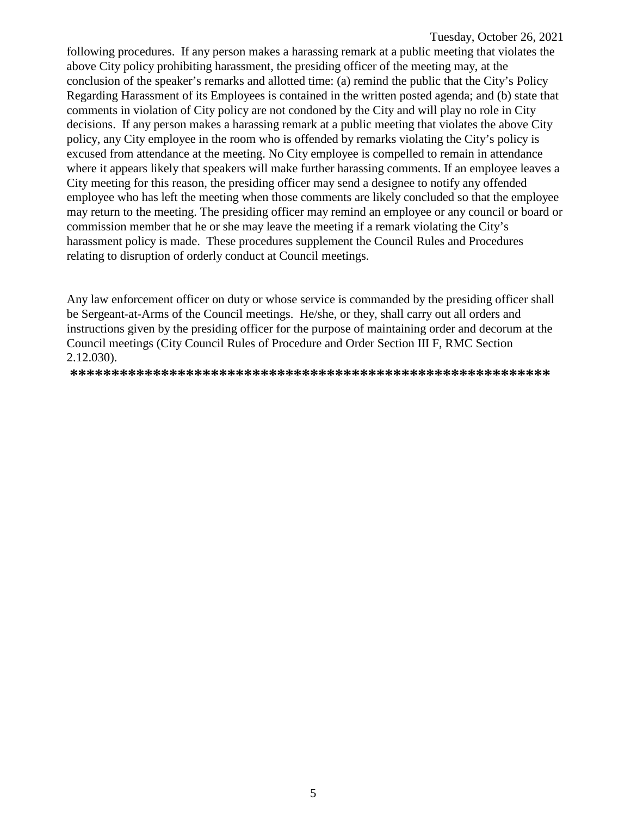following procedures. If any person makes a harassing remark at a public meeting that violates the above City policy prohibiting harassment, the presiding officer of the meeting may, at the conclusion of the speaker's remarks and allotted time: (a) remind the public that the City's Policy Regarding Harassment of its Employees is contained in the written posted agenda; and (b) state that comments in violation of City policy are not condoned by the City and will play no role in City decisions. If any person makes a harassing remark at a public meeting that violates the above City policy, any City employee in the room who is offended by remarks violating the City's policy is excused from attendance at the meeting. No City employee is compelled to remain in attendance where it appears likely that speakers will make further harassing comments. If an employee leaves a City meeting for this reason, the presiding officer may send a designee to notify any offended employee who has left the meeting when those comments are likely concluded so that the employee may return to the meeting. The presiding officer may remind an employee or any council or board or commission member that he or she may leave the meeting if a remark violating the City's harassment policy is made. These procedures supplement the Council Rules and Procedures relating to disruption of orderly conduct at Council meetings.

Any law enforcement officer on duty or whose service is commanded by the presiding officer shall be Sergeant-at-Arms of the Council meetings. He/she, or they, shall carry out all orders and instructions given by the presiding officer for the purpose of maintaining order and decorum at the Council meetings (City Council Rules of Procedure and Order Section III F, RMC Section 2.12.030).

**\*\*\*\*\*\*\*\*\*\*\*\*\*\*\*\*\*\*\*\*\*\*\*\*\*\*\*\*\*\*\*\*\*\*\*\*\*\*\*\*\*\*\*\*\*\*\*\*\*\*\*\*\*\*\*\*\*\***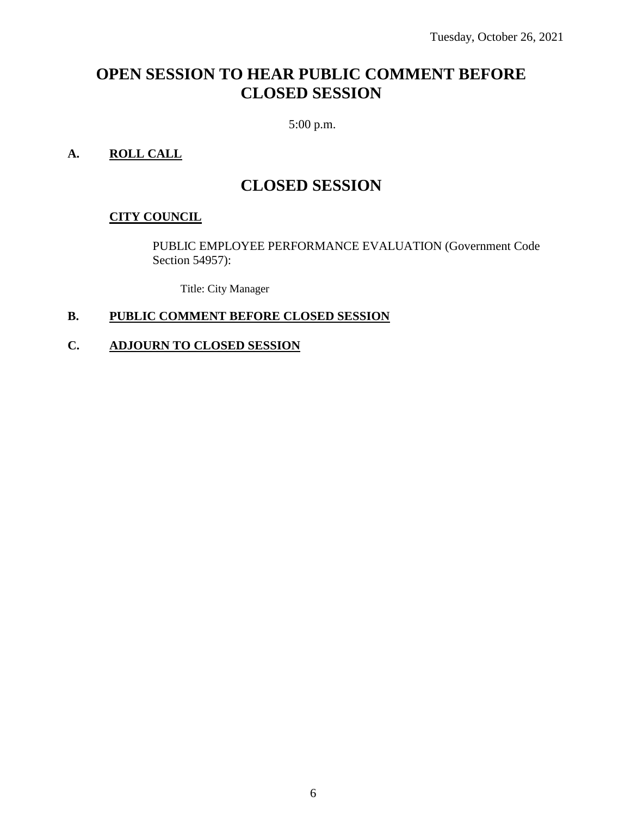## **OPEN SESSION TO HEAR PUBLIC COMMENT BEFORE CLOSED SESSION**

5:00 p.m.

### **A. ROLL CALL**

## **CLOSED SESSION**

#### **CITY COUNCIL**

PUBLIC EMPLOYEE PERFORMANCE EVALUATION (Government Code Section 54957):

Title: City Manager

#### **B. PUBLIC COMMENT BEFORE CLOSED SESSION**

#### **C. ADJOURN TO CLOSED SESSION**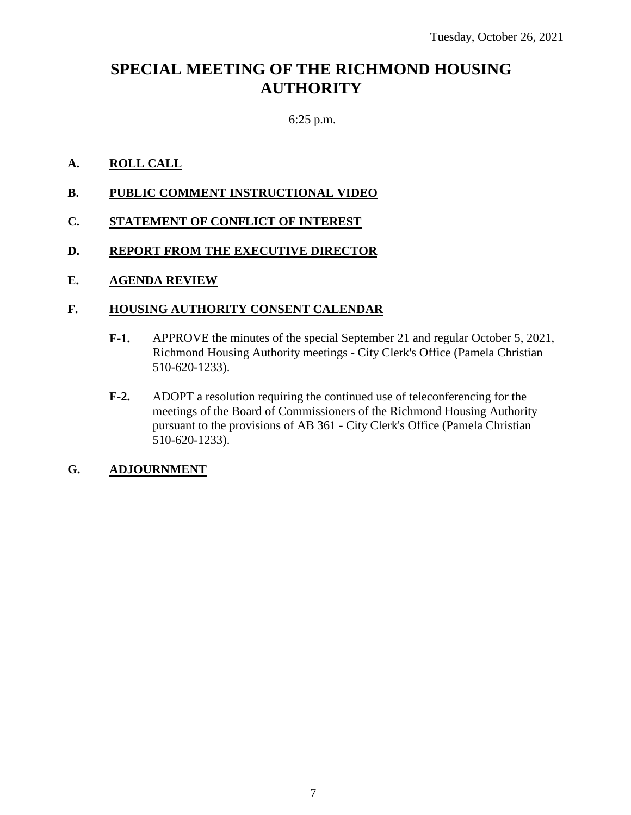## **SPECIAL MEETING OF THE RICHMOND HOUSING AUTHORITY**

### 6:25 p.m.

#### **A. ROLL CALL**

- **B. PUBLIC COMMENT INSTRUCTIONAL VIDEO**
- **C. STATEMENT OF CONFLICT OF INTEREST**
- **D. REPORT FROM THE EXECUTIVE DIRECTOR**

#### **E. AGENDA REVIEW**

#### **F. HOUSING AUTHORITY CONSENT CALENDAR**

- **F-1.** APPROVE the minutes of the special September 21 and regular October 5, 2021, Richmond Housing Authority meetings - City Clerk's Office (Pamela Christian 510-620-1233).
- **F-2.** ADOPT a resolution requiring the continued use of teleconferencing for the meetings of the Board of Commissioners of the Richmond Housing Authority pursuant to the provisions of AB 361 - City Clerk's Office (Pamela Christian 510-620-1233).

#### **G. ADJOURNMENT**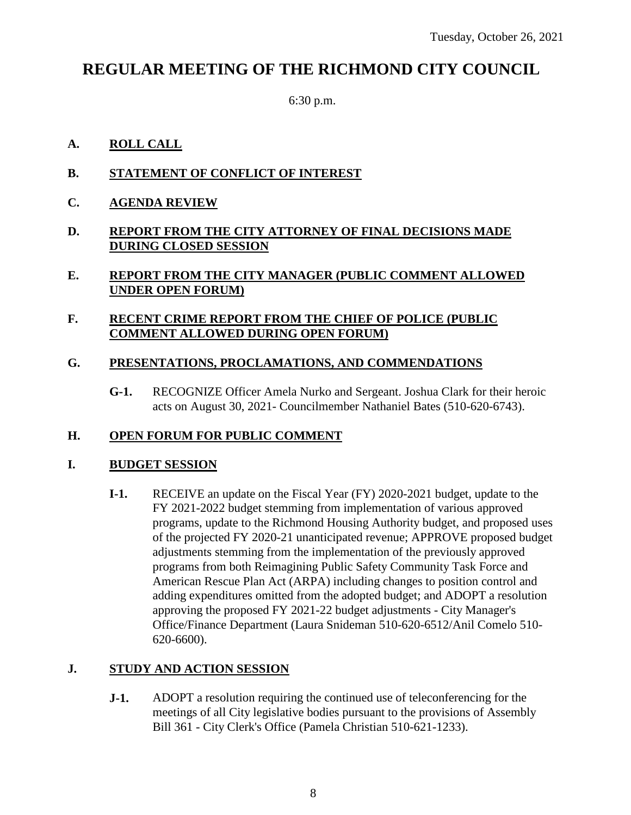## **REGULAR MEETING OF THE RICHMOND CITY COUNCIL**

6:30 p.m.

#### **A. ROLL CALL**

- **B. STATEMENT OF CONFLICT OF INTEREST**
- **C. AGENDA REVIEW**
- **D. REPORT FROM THE CITY ATTORNEY OF FINAL DECISIONS MADE DURING CLOSED SESSION**

#### **E. REPORT FROM THE CITY MANAGER (PUBLIC COMMENT ALLOWED UNDER OPEN FORUM)**

#### **F. RECENT CRIME REPORT FROM THE CHIEF OF POLICE (PUBLIC COMMENT ALLOWED DURING OPEN FORUM)**

### **G. PRESENTATIONS, PROCLAMATIONS, AND COMMENDATIONS**

**G-1.** RECOGNIZE Officer Amela Nurko and Sergeant. Joshua Clark for their heroic acts on August 30, 2021- Councilmember Nathaniel Bates (510-620-6743).

### **H. OPEN FORUM FOR PUBLIC COMMENT**

#### **I. BUDGET SESSION**

**I-1.** RECEIVE an update on the Fiscal Year (FY) 2020-2021 budget, update to the FY 2021-2022 budget stemming from implementation of various approved programs, update to the Richmond Housing Authority budget, and proposed uses of the projected FY 2020-21 unanticipated revenue; APPROVE proposed budget adjustments stemming from the implementation of the previously approved programs from both Reimagining Public Safety Community Task Force and American Rescue Plan Act (ARPA) including changes to position control and adding expenditures omitted from the adopted budget; and ADOPT a resolution approving the proposed FY 2021-22 budget adjustments - City Manager's Office/Finance Department (Laura Snideman 510-620-6512/Anil Comelo 510- 620-6600).

#### **J. STUDY AND ACTION SESSION**

**J-1.** ADOPT a resolution requiring the continued use of teleconferencing for the meetings of all City legislative bodies pursuant to the provisions of Assembly Bill 361 - City Clerk's Office (Pamela Christian 510-621-1233).